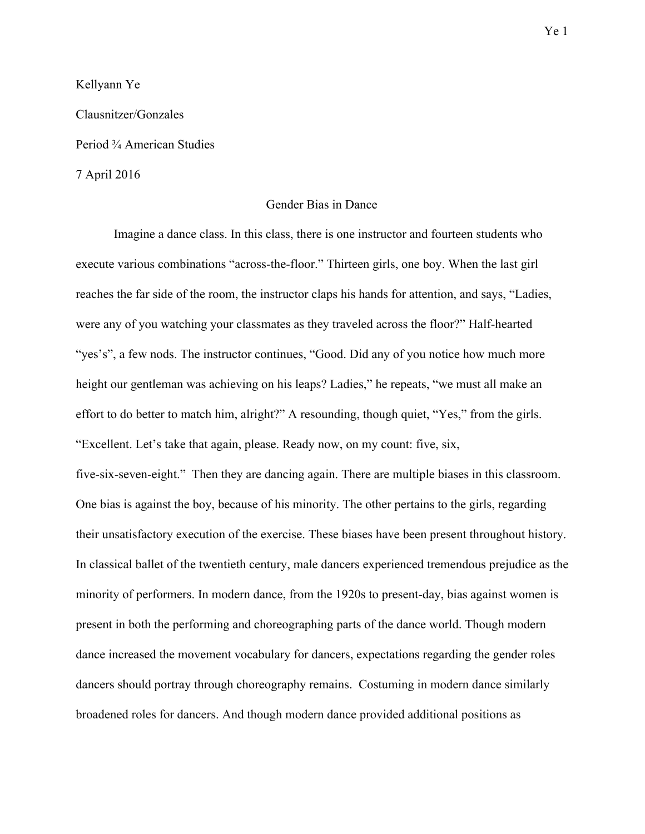Kellyann Ye

Clausnitzer/Gonzales

Period ¾ American Studies

7 April 2016

# Gender Bias in Dance

Imagine a dance class. In this class, there is one instructor and fourteen students who execute various combinations "across-the-floor." Thirteen girls, one boy. When the last girl reaches the far side of the room, the instructor claps his hands for attention, and says, "Ladies, were any of you watching your classmates as they traveled across the floor?" Half-hearted "yes's", a few nods. The instructor continues, "Good. Did any of you notice how much more height our gentleman was achieving on his leaps? Ladies," he repeats, "we must all make an effort to do better to match him, alright?" A resounding, though quiet, "Yes," from the girls. "Excellent. Let's take that again, please. Ready now, on my count: five, six, five-six-seven-eight." Then they are dancing again. There are multiple biases in this classroom. One bias is against the boy, because of his minority. The other pertains to the girls, regarding their unsatisfactory execution of the exercise. These biases have been present throughout history. In classical ballet of the twentieth century, male dancers experienced tremendous prejudice as the minority of performers. In modern dance, from the 1920s to present-day, bias against women is present in both the performing and choreographing parts of the dance world. Though modern dance increased the movement vocabulary for dancers, expectations regarding the gender roles dancers should portray through choreography remains. Costuming in modern dance similarly broadened roles for dancers. And though modern dance provided additional positions as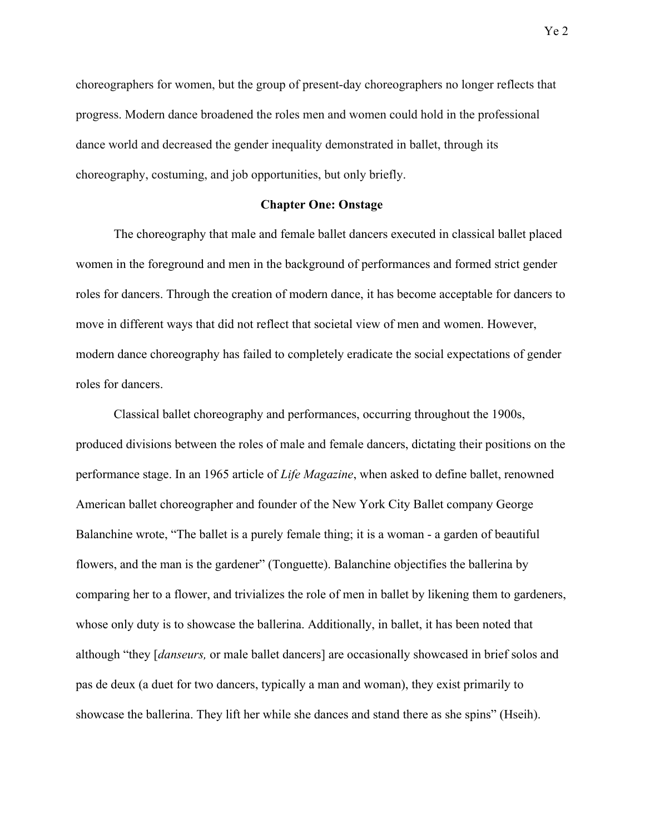choreographers for women, but the group of present-day choreographers no longer reflects that progress. Modern dance broadened the roles men and women could hold in the professional dance world and decreased the gender inequality demonstrated in ballet, through its choreography, costuming, and job opportunities, but only briefly.

# **Chapter One: Onstage**

The choreography that male and female ballet dancers executed in classical ballet placed women in the foreground and men in the background of performances and formed strict gender roles for dancers. Through the creation of modern dance, it has become acceptable for dancers to move in different ways that did not reflect that societal view of men and women. However, modern dance choreography has failed to completely eradicate the social expectations of gender roles for dancers.

Classical ballet choreography and performances, occurring throughout the 1900s, produced divisions between the roles of male and female dancers, dictating their positions on the performance stage. In an 1965 article of *Life Magazine*, when asked to define ballet, renowned American ballet choreographer and founder of the New York City Ballet company George Balanchine wrote, "The ballet is a purely female thing; it is a woman - a garden of beautiful flowers, and the man is the gardener" (Tonguette). Balanchine objectifies the ballerina by comparing her to a flower, and trivializes the role of men in ballet by likening them to gardeners, whose only duty is to showcase the ballerina. Additionally, in ballet, it has been noted that although "they [*danseurs,* or male ballet dancers] are occasionally showcased in brief solos and pas de deux (a duet for two dancers, typically a man and woman), they exist primarily to showcase the ballerina. They lift her while she dances and stand there as she spins" (Hseih).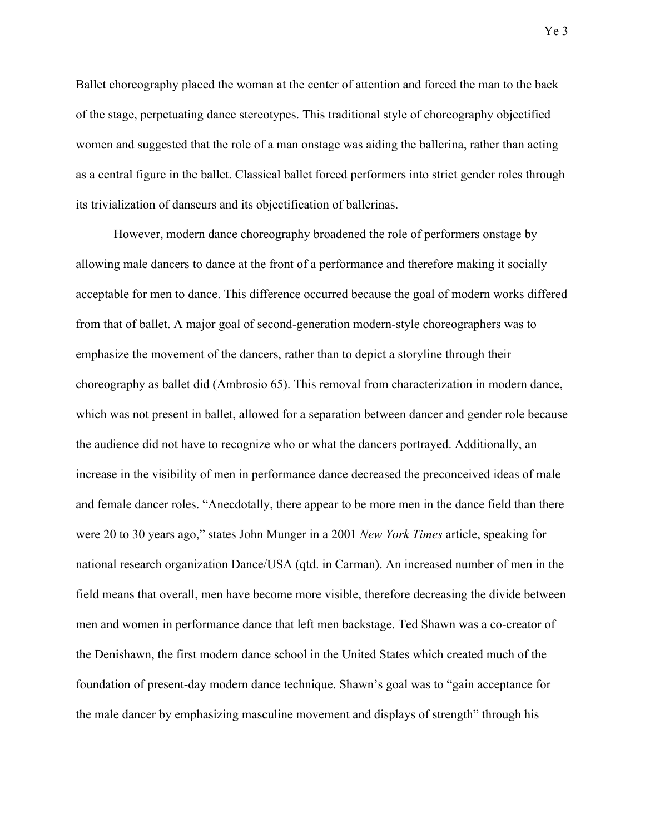Ballet choreography placed the woman at the center of attention and forced the man to the back of the stage, perpetuating dance stereotypes. This traditional style of choreography objectified women and suggested that the role of a man onstage was aiding the ballerina, rather than acting as a central figure in the ballet. Classical ballet forced performers into strict gender roles through its trivialization of danseurs and its objectification of ballerinas.

However, modern dance choreography broadened the role of performers onstage by allowing male dancers to dance at the front of a performance and therefore making it socially acceptable for men to dance. This difference occurred because the goal of modern works differed from that of ballet. A major goal of second-generation modern-style choreographers was to emphasize the movement of the dancers, rather than to depict a storyline through their choreography as ballet did (Ambrosio 65). This removal from characterization in modern dance, which was not present in ballet, allowed for a separation between dancer and gender role because the audience did not have to recognize who or what the dancers portrayed. Additionally, an increase in the visibility of men in performance dance decreased the preconceived ideas of male and female dancer roles. "Anecdotally, there appear to be more men in the dance field than there were 20 to 30 years ago," states John Munger in a 2001 *New York Times* article, speaking for national research organization Dance/USA (qtd. in Carman). An increased number of men in the field means that overall, men have become more visible, therefore decreasing the divide between men and women in performance dance that left men backstage. Ted Shawn was a co-creator of the Denishawn, the first modern dance school in the United States which created much of the foundation of present-day modern dance technique. Shawn's goal was to "gain acceptance for the male dancer by emphasizing masculine movement and displays of strength" through his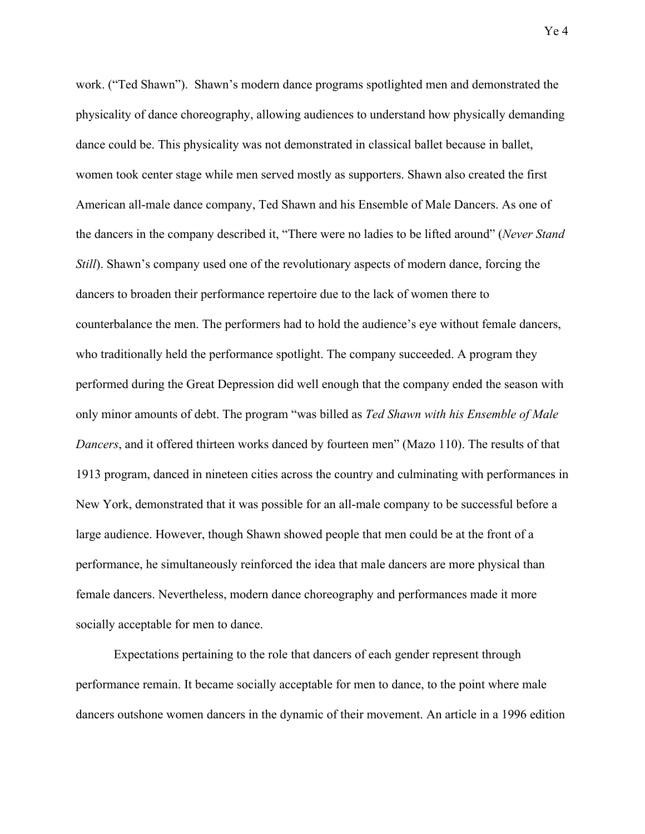work. ("Ted Shawn"). Shawn's modern dance programs spotlighted men and demonstrated the physicality of dance choreography, allowing audiences to understand how physically demanding dance could be. This physicality was not demonstrated in classical ballet because in ballet, women took center stage while men served mostly as supporters. Shawn also created the first American all-male dance company, Ted Shawn and his Ensemble of Male Dancers. As one of the dancers in the company described it, "There were no ladies to be lifted around" (*Never Stand Still*). Shawn's company used one of the revolutionary aspects of modern dance, forcing the dancers to broaden their performance repertoire due to the lack of women there to counterbalance the men. The performers had to hold the audience's eye without female dancers, who traditionally held the performance spotlight. The company succeeded. A program they performed during the Great Depression did well enough that the company ended the season with only minor amounts of debt. The program "was billed as *Ted Shawn with his Ensemble of Male Dancers*, and it offered thirteen works danced by fourteen men" (Mazo 110). The results of that 1913 program, danced in nineteen cities across the country and culminating with performances in New York, demonstrated that it was possible for an all-male company to be successful before a large audience. However, though Shawn showed people that men could be at the front of a performance, he simultaneously reinforced the idea that male dancers are more physical than female dancers. Nevertheless, modern dance choreography and performances made it more socially acceptable for men to dance.

Expectations pertaining to the role that dancers of each gender represent through performance remain. It became socially acceptable for men to dance, to the point where male dancers outshone women dancers in the dynamic of their movement. An article in a 1996 edition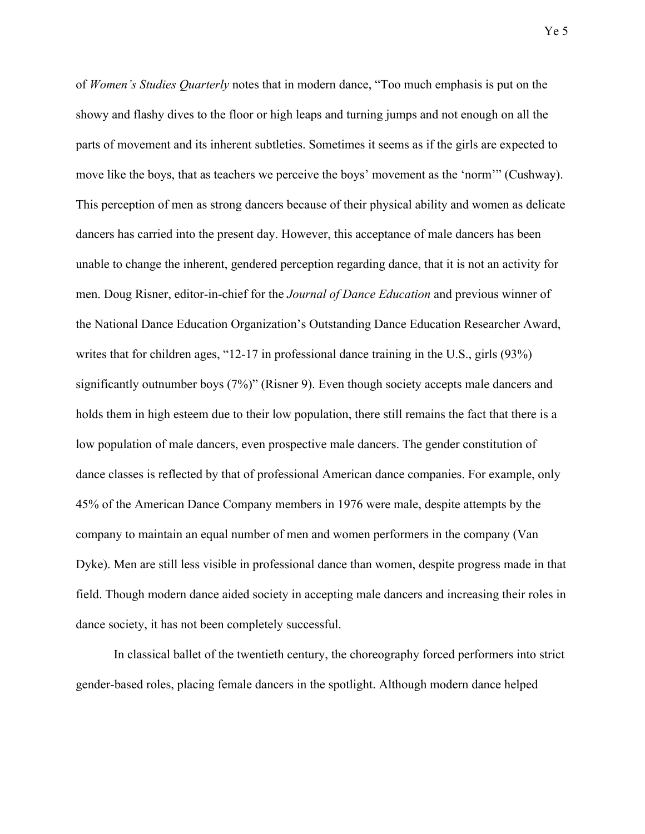of *Women's Studies Quarterly* notes that in modern dance, "Too much emphasis is put on the showy and flashy dives to the floor or high leaps and turning jumps and not enough on all the parts of movement and its inherent subtleties. Sometimes it seems as if the girls are expected to move like the boys, that as teachers we perceive the boys' movement as the 'norm'" (Cushway). This perception of men as strong dancers because of their physical ability and women as delicate dancers has carried into the present day. However, this acceptance of male dancers has been unable to change the inherent, gendered perception regarding dance, that it is not an activity for men. Doug Risner, editor-in-chief for the *Journal of Dance Education* and previous winner of the National Dance Education Organization's Outstanding Dance Education Researcher Award, writes that for children ages, "12-17 in professional dance training in the U.S., girls (93%) significantly outnumber boys (7%)" (Risner 9). Even though society accepts male dancers and holds them in high esteem due to their low population, there still remains the fact that there is a low population of male dancers, even prospective male dancers. The gender constitution of dance classes is reflected by that of professional American dance companies. For example, only 45% of the American Dance Company members in 1976 were male, despite attempts by the company to maintain an equal number of men and women performers in the company (Van Dyke). Men are still less visible in professional dance than women, despite progress made in that field. Though modern dance aided society in accepting male dancers and increasing their roles in dance society, it has not been completely successful.

In classical ballet of the twentieth century, the choreography forced performers into strict gender-based roles, placing female dancers in the spotlight. Although modern dance helped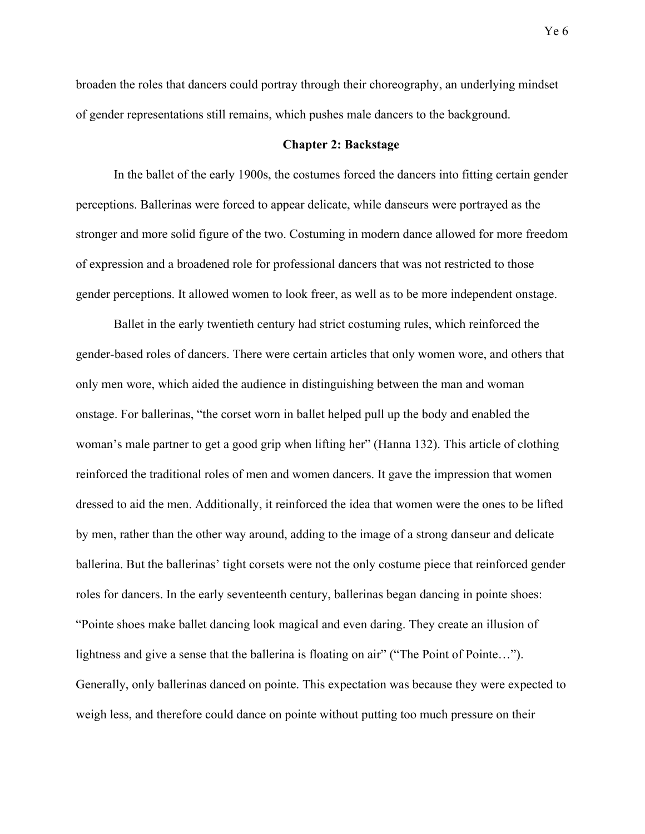broaden the roles that dancers could portray through their choreography, an underlying mindset of gender representations still remains, which pushes male dancers to the background.

## **Chapter 2: Backstage**

In the ballet of the early 1900s, the costumes forced the dancers into fitting certain gender perceptions. Ballerinas were forced to appear delicate, while danseurs were portrayed as the stronger and more solid figure of the two. Costuming in modern dance allowed for more freedom of expression and a broadened role for professional dancers that was not restricted to those gender perceptions. It allowed women to look freer, as well as to be more independent onstage.

Ballet in the early twentieth century had strict costuming rules, which reinforced the gender-based roles of dancers. There were certain articles that only women wore, and others that only men wore, which aided the audience in distinguishing between the man and woman onstage. For ballerinas, "the corset worn in ballet helped pull up the body and enabled the woman's male partner to get a good grip when lifting her" (Hanna 132). This article of clothing reinforced the traditional roles of men and women dancers. It gave the impression that women dressed to aid the men. Additionally, it reinforced the idea that women were the ones to be lifted by men, rather than the other way around, adding to the image of a strong danseur and delicate ballerina. But the ballerinas' tight corsets were not the only costume piece that reinforced gender roles for dancers. In the early seventeenth century, ballerinas began dancing in pointe shoes: "Pointe shoes make ballet dancing look magical and even daring. They create an illusion of lightness and give a sense that the ballerina is floating on air" ("The Point of Pointe..."). Generally, only ballerinas danced on pointe. This expectation was because they were expected to weigh less, and therefore could dance on pointe without putting too much pressure on their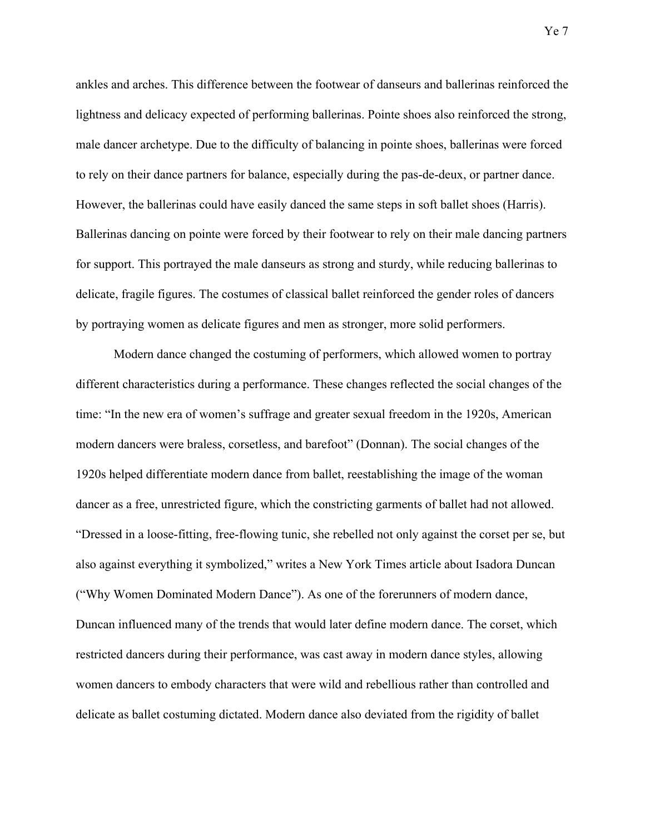ankles and arches. This difference between the footwear of danseurs and ballerinas reinforced the lightness and delicacy expected of performing ballerinas. Pointe shoes also reinforced the strong, male dancer archetype. Due to the difficulty of balancing in pointe shoes, ballerinas were forced to rely on their dance partners for balance, especially during the pas-de-deux, or partner dance. However, the ballerinas could have easily danced the same steps in soft ballet shoes (Harris). Ballerinas dancing on pointe were forced by their footwear to rely on their male dancing partners for support. This portrayed the male danseurs as strong and sturdy, while reducing ballerinas to delicate, fragile figures. The costumes of classical ballet reinforced the gender roles of dancers by portraying women as delicate figures and men as stronger, more solid performers.

Modern dance changed the costuming of performers, which allowed women to portray different characteristics during a performance. These changes reflected the social changes of the time: "In the new era of women's suffrage and greater sexual freedom in the 1920s, American modern dancers were braless, corsetless, and barefoot" (Donnan). The social changes of the 1920s helped differentiate modern dance from ballet, reestablishing the image of the woman dancer as a free, unrestricted figure, which the constricting garments of ballet had not allowed. "Dressed in a loose-fitting, free-flowing tunic, she rebelled not only against the corset per se, but also against everything it symbolized," writes a New York Times article about Isadora Duncan ("Why Women Dominated Modern Dance"). As one of the forerunners of modern dance, Duncan influenced many of the trends that would later define modern dance. The corset, which restricted dancers during their performance, was cast away in modern dance styles, allowing women dancers to embody characters that were wild and rebellious rather than controlled and delicate as ballet costuming dictated. Modern dance also deviated from the rigidity of ballet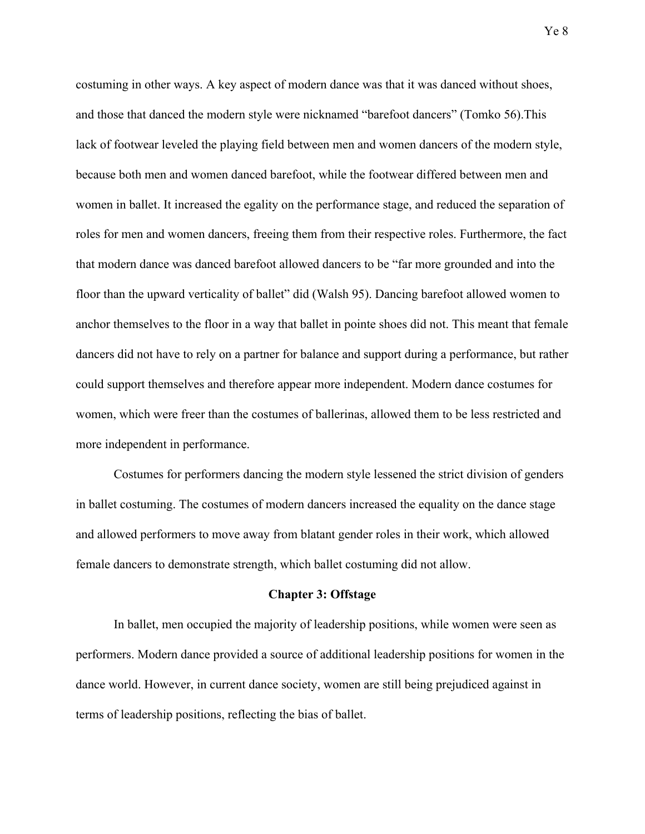costuming in other ways. A key aspect of modern dance was that it was danced without shoes, and those that danced the modern style were nicknamed "barefoot dancers" (Tomko 56).This lack of footwear leveled the playing field between men and women dancers of the modern style, because both men and women danced barefoot, while the footwear differed between men and women in ballet. It increased the egality on the performance stage, and reduced the separation of roles for men and women dancers, freeing them from their respective roles. Furthermore, the fact that modern dance was danced barefoot allowed dancers to be "far more grounded and into the floor than the upward verticality of ballet" did (Walsh 95). Dancing barefoot allowed women to anchor themselves to the floor in a way that ballet in pointe shoes did not. This meant that female dancers did not have to rely on a partner for balance and support during a performance, but rather could support themselves and therefore appear more independent. Modern dance costumes for women, which were freer than the costumes of ballerinas, allowed them to be less restricted and more independent in performance.

Costumes for performers dancing the modern style lessened the strict division of genders in ballet costuming. The costumes of modern dancers increased the equality on the dance stage and allowed performers to move away from blatant gender roles in their work, which allowed female dancers to demonstrate strength, which ballet costuming did not allow.

#### **Chapter 3: Offstage**

In ballet, men occupied the majority of leadership positions, while women were seen as performers. Modern dance provided a source of additional leadership positions for women in the dance world. However, in current dance society, women are still being prejudiced against in terms of leadership positions, reflecting the bias of ballet.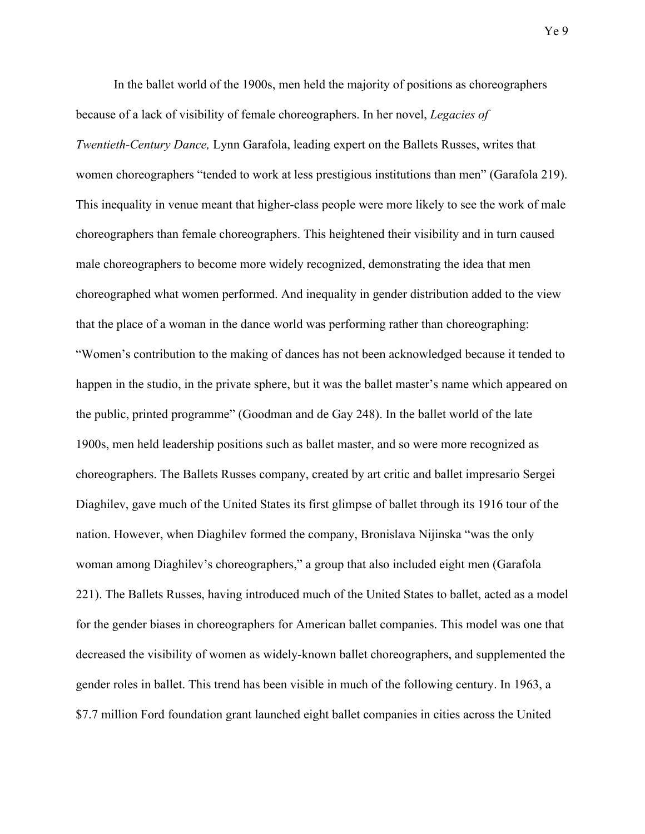In the ballet world of the 1900s, men held the majority of positions as choreographers because of a lack of visibility of female choreographers. In her novel, *Legacies of Twentieth-Century Dance,* Lynn Garafola, leading expert on the Ballets Russes, writes that women choreographers "tended to work at less prestigious institutions than men" (Garafola 219). This inequality in venue meant that higher-class people were more likely to see the work of male choreographers than female choreographers. This heightened their visibility and in turn caused male choreographers to become more widely recognized, demonstrating the idea that men choreographed what women performed. And inequality in gender distribution added to the view that the place of a woman in the dance world was performing rather than choreographing: "Women's contribution to the making of dances has not been acknowledged because it tended to happen in the studio, in the private sphere, but it was the ballet master's name which appeared on the public, printed programme" (Goodman and de Gay 248). In the ballet world of the late 1900s, men held leadership positions such as ballet master, and so were more recognized as choreographers. The Ballets Russes company, created by art critic and ballet impresario Sergei Diaghilev, gave much of the United States its first glimpse of ballet through its 1916 tour of the nation. However, when Diaghilev formed the company, Bronislava Nijinska "was the only woman among Diaghilev's choreographers," a group that also included eight men (Garafola 221). The Ballets Russes, having introduced much of the United States to ballet, acted as a model for the gender biases in choreographers for American ballet companies. This model was one that decreased the visibility of women as widely-known ballet choreographers, and supplemented the gender roles in ballet. This trend has been visible in much of the following century. In 1963, a \$7.7 million Ford foundation grant launched eight ballet companies in cities across the United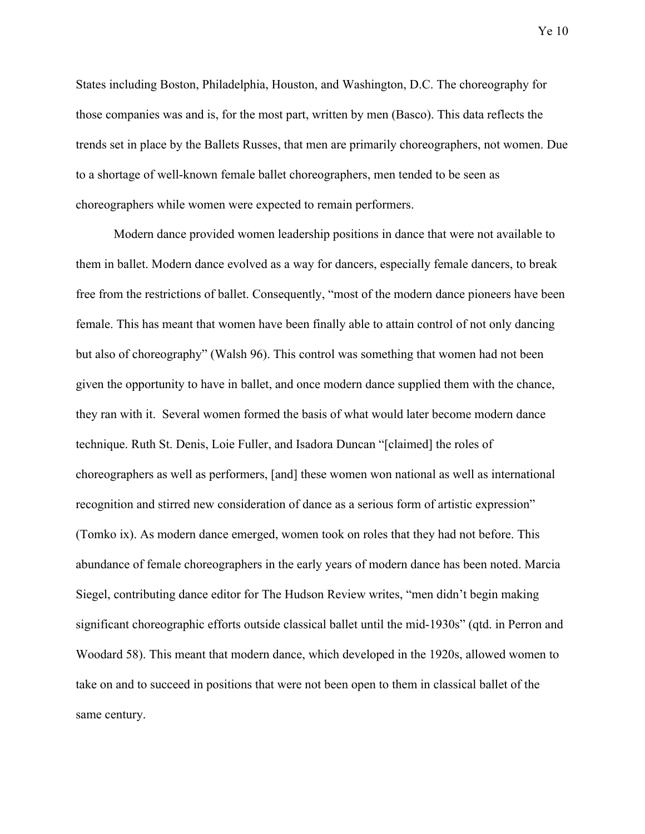States including Boston, Philadelphia, Houston, and Washington, D.C. The choreography for those companies was and is, for the most part, written by men (Basco). This data reflects the trends set in place by the Ballets Russes, that men are primarily choreographers, not women. Due to a shortage of well-known female ballet choreographers, men tended to be seen as choreographers while women were expected to remain performers.

Modern dance provided women leadership positions in dance that were not available to them in ballet. Modern dance evolved as a way for dancers, especially female dancers, to break free from the restrictions of ballet. Consequently, "most of the modern dance pioneers have been female. This has meant that women have been finally able to attain control of not only dancing but also of choreography" (Walsh 96). This control was something that women had not been given the opportunity to have in ballet, and once modern dance supplied them with the chance, they ran with it. Several women formed the basis of what would later become modern dance technique. Ruth St. Denis, Loie Fuller, and Isadora Duncan "[claimed] the roles of choreographers as well as performers, [and] these women won national as well as international recognition and stirred new consideration of dance as a serious form of artistic expression" (Tomko ix). As modern dance emerged, women took on roles that they had not before. This abundance of female choreographers in the early years of modern dance has been noted. Marcia Siegel, contributing dance editor for The Hudson Review writes, "men didn't begin making significant choreographic efforts outside classical ballet until the mid-1930s" (qtd. in Perron and Woodard 58). This meant that modern dance, which developed in the 1920s, allowed women to take on and to succeed in positions that were not been open to them in classical ballet of the same century.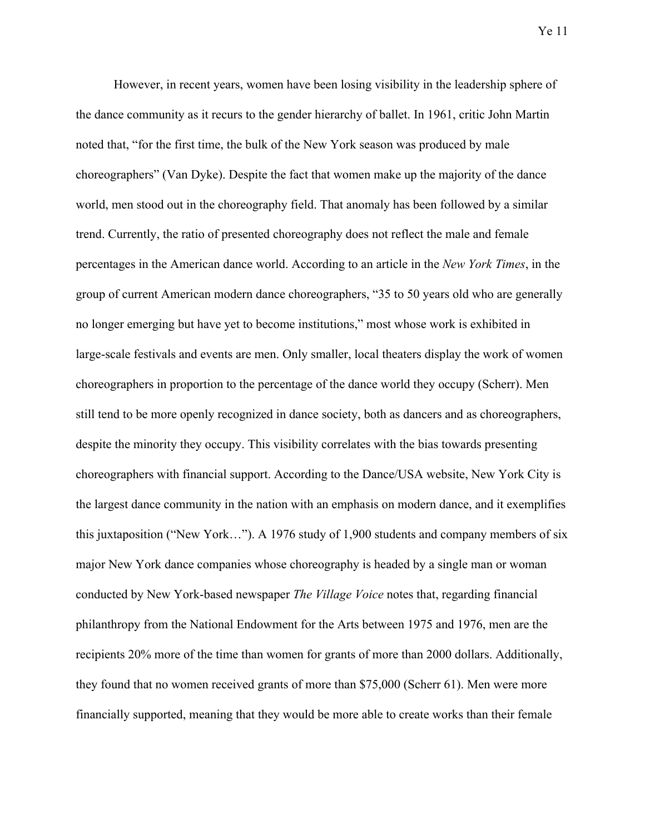Ye 11

However, in recent years, women have been losing visibility in the leadership sphere of the dance community as it recurs to the gender hierarchy of ballet. In 1961, critic John Martin noted that, "for the first time, the bulk of the New York season was produced by male choreographers" (Van Dyke). Despite the fact that women make up the majority of the dance world, men stood out in the choreography field. That anomaly has been followed by a similar trend. Currently, the ratio of presented choreography does not reflect the male and female percentages in the American dance world. According to an article in the *New York Times*, in the group of current American modern dance choreographers, "35 to 50 years old who are generally no longer emerging but have yet to become institutions," most whose work is exhibited in large-scale festivals and events are men. Only smaller, local theaters display the work of women choreographers in proportion to the percentage of the dance world they occupy (Scherr). Men still tend to be more openly recognized in dance society, both as dancers and as choreographers, despite the minority they occupy. This visibility correlates with the bias towards presenting choreographers with financial support. According to the Dance/USA website, New York City is the largest dance community in the nation with an emphasis on modern dance, and it exemplifies this juxtaposition ("New York…"). A 1976 study of 1,900 students and company members of six major New York dance companies whose choreography is headed by a single man or woman conducted by New York-based newspaper *The Village Voice* notes that, regarding financial philanthropy from the National Endowment for the Arts between 1975 and 1976, men are the recipients 20% more of the time than women for grants of more than 2000 dollars. Additionally, they found that no women received grants of more than \$75,000 (Scherr 61). Men were more financially supported, meaning that they would be more able to create works than their female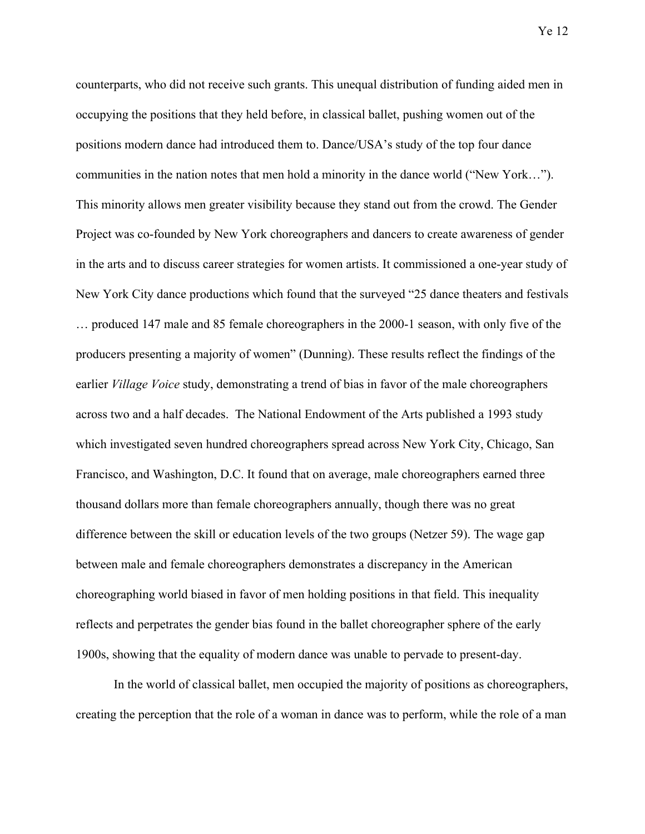counterparts, who did not receive such grants. This unequal distribution of funding aided men in occupying the positions that they held before, in classical ballet, pushing women out of the positions modern dance had introduced them to. Dance/USA's study of the top four dance communities in the nation notes that men hold a minority in the dance world ("New York…"). This minority allows men greater visibility because they stand out from the crowd. The Gender Project was co-founded by New York choreographers and dancers to create awareness of gender in the arts and to discuss career strategies for women artists. It commissioned a one-year study of New York City dance productions which found that the surveyed "25 dance theaters and festivals … produced 147 male and 85 female choreographers in the 2000-1 season, with only five of the producers presenting a majority of women" (Dunning). These results reflect the findings of the earlier *Village Voice* study, demonstrating a trend of bias in favor of the male choreographers across two and a half decades. The National Endowment of the Arts published a 1993 study which investigated seven hundred choreographers spread across New York City, Chicago, San Francisco, and Washington, D.C. It found that on average, male choreographers earned three thousand dollars more than female choreographers annually, though there was no great difference between the skill or education levels of the two groups (Netzer 59). The wage gap between male and female choreographers demonstrates a discrepancy in the American choreographing world biased in favor of men holding positions in that field. This inequality reflects and perpetrates the gender bias found in the ballet choreographer sphere of the early 1900s, showing that the equality of modern dance was unable to pervade to present-day.

In the world of classical ballet, men occupied the majority of positions as choreographers, creating the perception that the role of a woman in dance was to perform, while the role of a man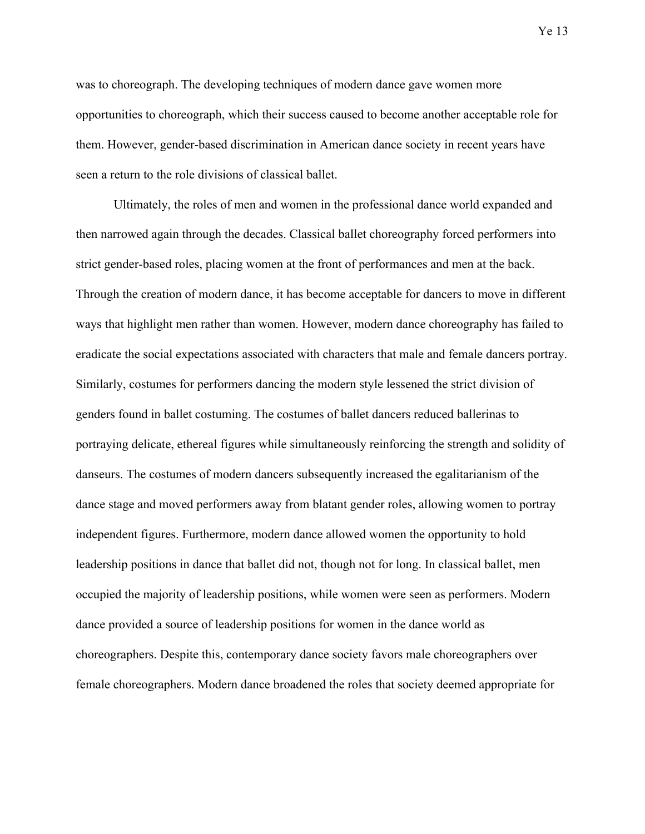was to choreograph. The developing techniques of modern dance gave women more opportunities to choreograph, which their success caused to become another acceptable role for them. However, gender-based discrimination in American dance society in recent years have seen a return to the role divisions of classical ballet.

Ultimately, the roles of men and women in the professional dance world expanded and then narrowed again through the decades. Classical ballet choreography forced performers into strict gender-based roles, placing women at the front of performances and men at the back. Through the creation of modern dance, it has become acceptable for dancers to move in different ways that highlight men rather than women. However, modern dance choreography has failed to eradicate the social expectations associated with characters that male and female dancers portray. Similarly, costumes for performers dancing the modern style lessened the strict division of genders found in ballet costuming. The costumes of ballet dancers reduced ballerinas to portraying delicate, ethereal figures while simultaneously reinforcing the strength and solidity of danseurs. The costumes of modern dancers subsequently increased the egalitarianism of the dance stage and moved performers away from blatant gender roles, allowing women to portray independent figures. Furthermore, modern dance allowed women the opportunity to hold leadership positions in dance that ballet did not, though not for long. In classical ballet, men occupied the majority of leadership positions, while women were seen as performers. Modern dance provided a source of leadership positions for women in the dance world as choreographers. Despite this, contemporary dance society favors male choreographers over female choreographers. Modern dance broadened the roles that society deemed appropriate for

Ye 13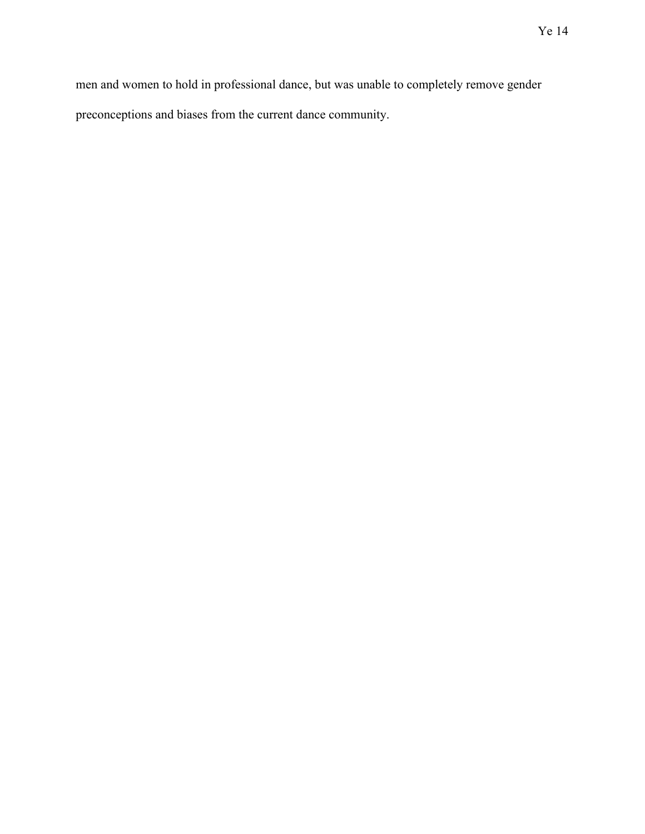men and women to hold in professional dance, but was unable to completely remove gender preconceptions and biases from the current dance community.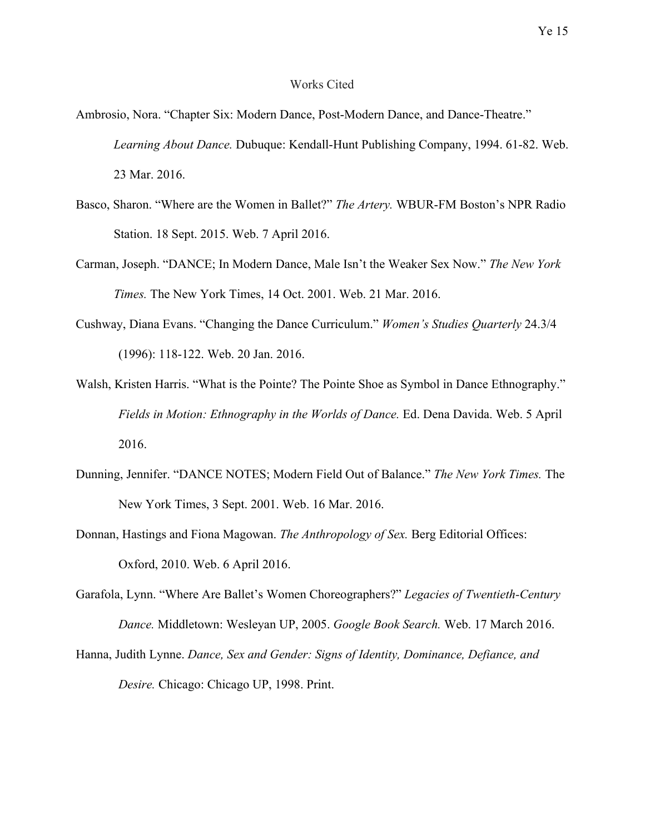### Works Cited

- Ambrosio, Nora. "Chapter Six: Modern Dance, Post-Modern Dance, and Dance-Theatre." *Learning About Dance.* Dubuque: Kendall-Hunt Publishing Company, 1994. 61-82. Web. 23 Mar. 2016.
- Basco, Sharon. "Where are the Women in Ballet?" *The Artery.* WBUR-FM Boston's NPR Radio Station. 18 Sept. 2015. Web. 7 April 2016.
- Carman, Joseph. "DANCE; In Modern Dance, Male Isn't the Weaker Sex Now." *The New York Times.* The New York Times, 14 Oct. 2001. Web. 21 Mar. 2016.
- Cushway, Diana Evans. "Changing the Dance Curriculum." *Women's Studies Quarterly* 24.3/4 (1996): 118-122. Web. 20 Jan. 2016.
- Walsh, Kristen Harris. "What is the Pointe? The Pointe Shoe as Symbol in Dance Ethnography." *Fields in Motion: Ethnography in the Worlds of Dance.* Ed. Dena Davida. Web. 5 April 2016.
- Dunning, Jennifer. "DANCE NOTES; Modern Field Out of Balance." *The New York Times.* The New York Times, 3 Sept. 2001. Web. 16 Mar. 2016.
- Donnan, Hastings and Fiona Magowan. *The Anthropology of Sex.* Berg Editorial Offices: Oxford, 2010. Web. 6 April 2016.
- Garafola, Lynn. "Where Are Ballet's Women Choreographers?" *Legacies of Twentieth-Century Dance.* Middletown: Wesleyan UP, 2005. *Google Book Search.* Web. 17 March 2016.
- Hanna, Judith Lynne. *Dance, Sex and Gender: Signs of Identity, Dominance, Defiance, and Desire.* Chicago: Chicago UP, 1998. Print.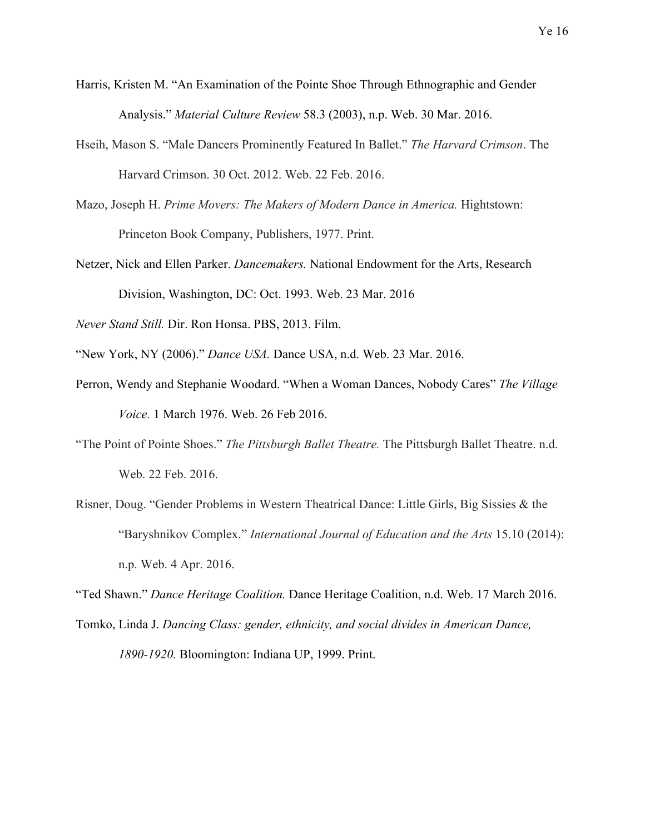- Harris, Kristen M. "An Examination of the Pointe Shoe Through Ethnographic and Gender Analysis." *Material Culture Review* 58.3 (2003), n.p. Web. 30 Mar. 2016.
- Hseih, Mason S. "Male Dancers Prominently Featured In Ballet." *The Harvard Crimson*. The Harvard Crimson. 30 Oct. 2012. Web. 22 Feb. 2016.
- Mazo, Joseph H. *Prime Movers: The Makers of Modern Dance in America.* Hightstown: Princeton Book Company, Publishers, 1977. Print.
- Netzer, Nick and Ellen Parker. *Dancemakers.* National Endowment for the Arts, Research Division, Washington, DC: Oct. 1993. Web. 23 Mar. 2016
- *Never Stand Still.* Dir. Ron Honsa. PBS, 2013. Film.
- "New York, NY (2006)." *Dance USA.* Dance USA, n.d. Web. 23 Mar. 2016.
- Perron, Wendy and Stephanie Woodard. "When a Woman Dances, Nobody Cares" *The Village Voice.* 1 March 1976. Web. 26 Feb 2016.
- "The Point of Pointe Shoes." *The Pittsburgh Ballet Theatre.* The Pittsburgh Ballet Theatre. n.d. Web. 22 Feb. 2016.
- Risner, Doug. "Gender Problems in Western Theatrical Dance: Little Girls, Big Sissies & the "Baryshnikov Complex." *International Journal of Education and the Arts* 15.10 (2014): n.p. Web. 4 Apr. 2016.
- "Ted Shawn." *Dance Heritage Coalition.* Dance Heritage Coalition, n.d. Web. 17 March 2016.
- Tomko, Linda J. *Dancing Class: gender, ethnicity, and social divides in American Dance, 1890-1920.* Bloomington: Indiana UP, 1999. Print.